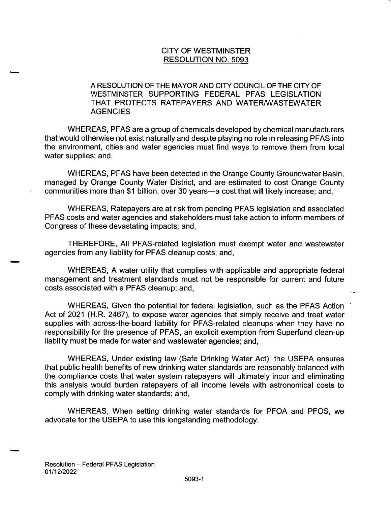## CITY OF WESTMINSTER RESOLUTION NO. 5093

## A RESOLUTION OF THE MAYOR AND CITY COUNCIL OF THE CITY OF WESTMINSTER SUPPORTING FEDERAL PFAS LEGISLATION THAT PROTECTS RATEPAYERS AND WATER/ WASTEWATER **AGENCIES**

WHEREAS, PFAS are a group of chemicals developed by chemical manufacturers that would otherwise not exist naturally and despite playing no role in releasing PFAS into the environment, cities and water agencies must find ways to remove them from local water supplies; and,

WHEREAS, PFAS have been detected in the Orange County Groundwater Basin, managed by Orange County Water District, and are estimated to cost Orange County communities more than \$1 billion, over 30 years—a cost that will likely increase; and,

WHEREAS, Ratepayers are at risk from pending PFAS legislation and associated PFAS costs and water agencies and stakeholders must take action to inform members of Congress of these devastating impacts; and,

THEREFORE, All PFAS- related legislation must exempt water and wastewater agencies from any liability for PFAS cleanup costs; and,

WHEREAS, A water utility that complies with applicable and appropriate federal management and treatment standards must not be responsible for current and future costs associated with a PFAS cleanup; and,

WHEREAS, Given the potential for federal legislation, such as the PFAS Action Act of 2021 (H.R. 2467), to expose water agencies that simply receive and treat water supplies with across-the-board liability for PFAS-related cleanups when they have no responsibility for the presence of PFAS, an explicit exemption from Superfund clean- up liability must be made for water and wastewater agencies; and,

WHEREAS, Under existing law ( Safe Drinking Water Act), the USEPA ensures that public health benefits of new drinking water standards are reasonably balanced with the compliance costs that water system ratepayers will ultimately incur and eliminating this analysis would burden ratepayers of all income levels with astronomical costs to comply with drinking water standards; and,

WHEREAS, When setting drinking water standards for PFOA and PFOS, we advocate for the USEPA to use this longstanding methodology.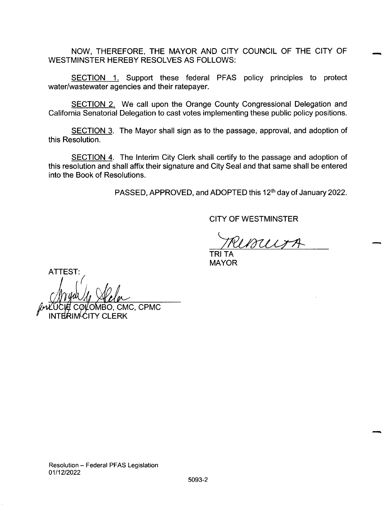NOW, THEREFORE, THE MAYOR AND CITY COUNCIL OF THE CITY OF WESTMINSTER HEREBY RESOLVES AS FOLLOWS:

SECTION 1. Support these federal PFAS policy principles to protect water/wastewater agencies and their ratepayer.

SECTION 2. We call upon the Orange County Congressional Delegation and California Senatorial Delegation to cast votes implementing these public policy positions.

SECTION 3. The Mayor shall sign as to the passage, approval, and adoption of this Resolution.

SECTION 4. The Interim City Clerk shall certify to the passage and adoption of this resolution and shall affix their signature and City Seal and that same shall be entered into the Book of Resolutions.

PASSED, APPROVED, and ADOPTED this 12<sup>th</sup> day of January 2022.

CITY OF WESTMINSTER

IPTILI

TRI TA MAYOR

ATTEST:

LUCIE COLOMBO, CMC, CPMC<br>INTERIM<sup>I</sup>CITY CLERK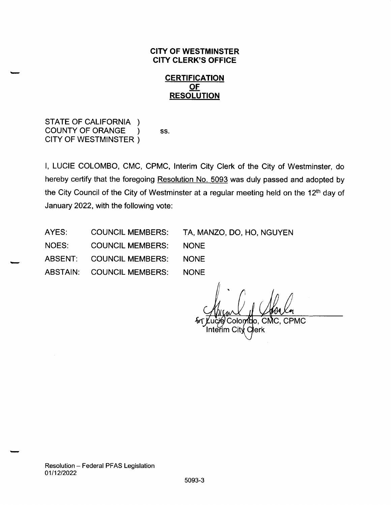## CITY OF WESTMINSTER **CITY CLERK'S OFFICE**

## **CERTIFICATION** OF RESOLUTION

STATE OF CALIFORNIA ) COUNTY OF ORANGE ss.  $\lambda$ CITY OF WESTMINSTER )

I, LUCIE COLOMBO, CMC, CPMC, Interim City Clerk of the City of Westminster, do hereby certify that the foregoing Resolution No. 5093 was duly passed and adopted by the City Council of the City of Westminster at a regular meeting held on the  $12<sup>th</sup>$  day of January 2022, with the following vote:

AYES: COUNCIL MEMBERS: NOES: COUNCIL MEMBERS: ABSENT: COUNCIL MEMBERS: ABSTAIN: COUNCIL MEMBERS: TA, MANZO, DO, HO, NGUYEN NONE NONE NONE

Colombo, Interim Cit<u>y</u> Clerk CMC, CPMC